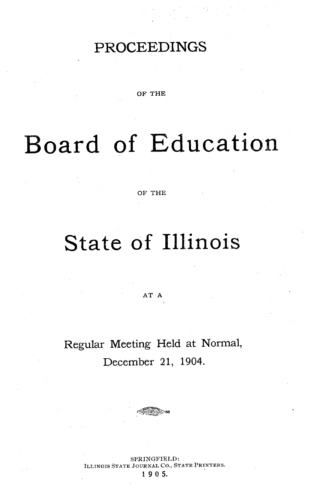## PROCEEDINGS

OF THE

# Board **of** Education

OF THE

## **State of** Illinois

AT A

Regular Meeting Held at Normal, December 21, 1904.

SPRINGFIELD: INOIS STATE JOURNAL CO., STATE PRINTERS. 19 0 5.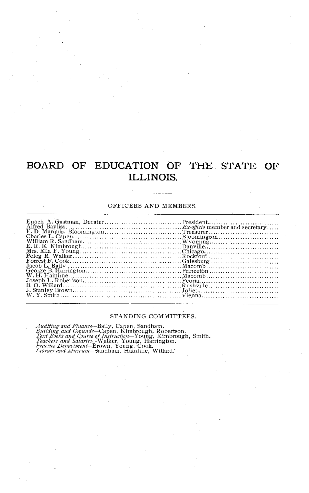## BOARD OF EDUCATION OF THE STATE OF **ILLINOIS.**

#### OFFICERS AND MEMBERS.

#### STANDING COMMITTEES.

Auditing and Finance-Baily, Capen, Sandham.<br>Building aud Grounds-Capen, Kimbrough, Robertson.<br>Text Books and Course of Instruction-Young, Kimbrough, Smith<br>Teachers and Salaries-Walker, Young, Harrington.<br>Practice Departmen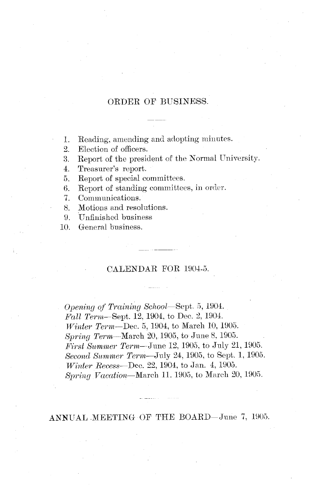### ORDER OF BUSINESS.

1. Reading, amending and adopting minutes.

2. Election of officers.

3. Report of the president of the Normal University.

4. Treasurer's report.

5. Report of special committees.

6. Report of standing committees, in order.<br>7. Communications.

Communications.

8. Motions and resolutions.

9. Unfinished business

10. General business.

#### CALENDAR FOR 1904-5.

*Opening of Training School-Sept.* 5, 1904. *Fall Term-Sept.* 12, 1904, to Dec. 2, 1904. *Winter Term*-Dec. 5, 1904, to March 10, 1905. *Spring Term-March* 20, 1905, to June 8, 1905. *First Summer Term-June* 12, 1905, to July 21, 1905. *Second Slummer Term--July* 24, 1905, to Sept. 1, 1905. *Winter Recess-Dec.* 22, 1904, to Jan. 4, 1905. *Spring Vacation*—March 11. 1905, to March 20, 1905.

ANNUAL MEETING OF THE BOARD-June 7, 1905.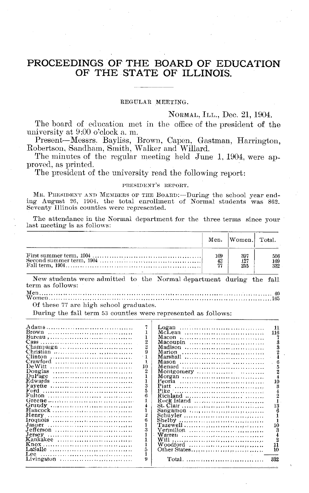### **PROCEEDINGS OF THE BOARD OF EDUCATION OF THE STATE OF ILLINOIS.**

#### REGULAR MEETING.

#### NORMAL, ILL., Dec. **21,** 1904.

The board of education met in the office of the president of the university at 9:00 o'clock a. m.

Present-Messrs. Bayliss, Brown, Capen, Gastman, Harrington, Robertson, Sandham, Smith, Walker and Willard.

The minutes of the regular meeting held June 1, 1904, were approved, as printed.

The president of the university read the following report:

#### **PRESIDENT'S REPORT.**

MR. PRESIDENT AND MEMBERS OF THE BOARD:--During the school year ending August 26, 1904, the total enrollment of Normal students was 862. Seventy Illinois counties were represented.

The attendance in the Normal department for the three terms since your last meeting is as follows:

|                                                                                         |                        | Men. Women. Total.       |                          |
|-----------------------------------------------------------------------------------------|------------------------|--------------------------|--------------------------|
|                                                                                         | 109<br>$\frac{42}{27}$ | 397<br>$\frac{127}{255}$ | 506<br>$\frac{169}{332}$ |
| New students were admitted to the Normal department during the fall<br>term as follows: |                        |                          |                          |

Men................... ........ ............... ............. <sup>40</sup> W omen .............................. .................. 65

#### Of these 77 are high school graduates.

During the fall term 53 counties were represented as follows:

|                |                                                    | 11                                                                                                                                                                                                                                                                                                                                               |
|----------------|----------------------------------------------------|--------------------------------------------------------------------------------------------------------------------------------------------------------------------------------------------------------------------------------------------------------------------------------------------------------------------------------------------------|
|                |                                                    | 116                                                                                                                                                                                                                                                                                                                                              |
|                |                                                    |                                                                                                                                                                                                                                                                                                                                                  |
|                |                                                    |                                                                                                                                                                                                                                                                                                                                                  |
| $\overline{2}$ |                                                    |                                                                                                                                                                                                                                                                                                                                                  |
| 9              |                                                    |                                                                                                                                                                                                                                                                                                                                                  |
|                |                                                    |                                                                                                                                                                                                                                                                                                                                                  |
|                |                                                    |                                                                                                                                                                                                                                                                                                                                                  |
|                |                                                    | 5                                                                                                                                                                                                                                                                                                                                                |
|                |                                                    |                                                                                                                                                                                                                                                                                                                                                  |
|                |                                                    |                                                                                                                                                                                                                                                                                                                                                  |
|                |                                                    |                                                                                                                                                                                                                                                                                                                                                  |
|                |                                                    | 10                                                                                                                                                                                                                                                                                                                                               |
|                |                                                    | 3                                                                                                                                                                                                                                                                                                                                                |
|                |                                                    |                                                                                                                                                                                                                                                                                                                                                  |
|                |                                                    |                                                                                                                                                                                                                                                                                                                                                  |
|                |                                                    |                                                                                                                                                                                                                                                                                                                                                  |
|                |                                                    |                                                                                                                                                                                                                                                                                                                                                  |
|                |                                                    |                                                                                                                                                                                                                                                                                                                                                  |
| Ÿ.             |                                                    |                                                                                                                                                                                                                                                                                                                                                  |
|                |                                                    |                                                                                                                                                                                                                                                                                                                                                  |
|                |                                                    |                                                                                                                                                                                                                                                                                                                                                  |
|                |                                                    |                                                                                                                                                                                                                                                                                                                                                  |
|                |                                                    |                                                                                                                                                                                                                                                                                                                                                  |
|                |                                                    |                                                                                                                                                                                                                                                                                                                                                  |
|                |                                                    |                                                                                                                                                                                                                                                                                                                                                  |
|                |                                                    | 10                                                                                                                                                                                                                                                                                                                                               |
|                |                                                    |                                                                                                                                                                                                                                                                                                                                                  |
|                |                                                    |                                                                                                                                                                                                                                                                                                                                                  |
|                |                                                    | 332                                                                                                                                                                                                                                                                                                                                              |
|                | 2<br>10<br>$\overline{2}$<br>1<br>3<br>3<br>ភ<br>9 | McLean<br>Macon<br>Macoupin $\ldots \ldots \ldots \ldots \ldots \ldots \ldots \ldots$<br>Madison<br>Marion<br>Marshall<br>Mason<br>Montgomery $\ldots \ldots \ldots \ldots \ldots$<br>Morgan<br>Peoria<br>Pike<br>Rock Island<br>Sangamon $\ldots, \ldots, \ldots, \ldots, \ldots, \ldots$<br>Schüvler<br>Shelby<br>Warren<br>Woodford<br>Total. |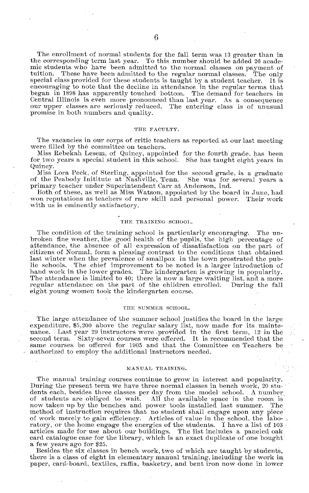The enrollment of normal students for the fall term was 13 greater than in the corresponding term last year. To this number should be added 26 academic students who have been admitted to the normal classes on payment of tuition. These have been admitted to the regular normal classes. The only These have been admitted to the regular normal classes. special class provided for these students is taught by a student teacher. It is encouraging to note that the decline in attendance in the regular terms that began in 1898 has apparently touched bottom. The demand for teachers in Central Illinois is even more pronounced than last year. As a consequence our upper classes are seriously reduced. The entering class is of unusual promise in both numbers and quality.

#### TIE **FACULTY.**

The vacancies in our corps of critic teachers as reported at our last meeting were filled by the committee on teachers.

Miss Rebekah Lesem, of Quincy, appointed for the fourth grade, has been for two years a special student in this school. She has taught eight years in Quincy.

Miss Lora Peck, of Sterling, appointed for the secoud grade, is a graduate of the Peabody Inititute at Nashville, Tenn. She was for several years a primary teacher under Superintendent Carr at Anderson, Ind.<br>Both of these, as well as Miss Watson, appointed by the board in June, had.

won reputations as teachers of rare skill and personal power. Their work with us is eminently satisfactory.

#### THE TRAINING SCHOOL.

The condition of the training school is particularly enconraging. The un-<br>broken fine weather, the good health of the pupils, the high percentage of attendance, the absence of all expression of dissatisfaction on the part of citizens of Normal, form a pleasing contrast to the conditions that obtained last winter when the prevalence of smallpox in the town prostrated the pub-<br>lie schools. The chief improvement to be noted is a larger introduction of The chief improvement to be noted is a larger introduction of hand work in the lower grades. The kindergarten is growing in popularity. The attendance is limited to 40; there is now a large waiting list, and a more regular attendance on the part of the children enrolled. During the fall eight young women took the kindergarten course.

#### **THE SUMMER SCHOOL.**

The large attendance of the summer school justifies the board in the large expenditure, \$5,200 above the regular salary list, now made for its mainte- uance. Last year 29 instructors were provided in the first term, 12 in the second term. Sixty-seven courses were offered. It is recommended that the same courses be offered for 1905 and that the Committee on Teachers be authorized to employ the additional instructors needed.

#### **MANUAL** TRAINING.

The manual training courses continue to grow in interest and popularity. During the present term we have three normal classes in bench work, 20 students each, besides three classes per day from the model school. A number of students are obliged to wait. All the available space in the room is now taken up by the benches and power tools installed last summer. The method of instruction requires that no student shall engage upon any piece of work merely to gain efficiency. Articles of value in the school, the laboratory, or the home engage the energies of the students. I have a list of 103 articles made for use about our buildings. The list includes a paneled oak card catalogue case for the library, which is an exact duplicate of one bought a few years ago for \$25.

Besides the six classes in bench work, two of which are taught by students, there is a class of eight in elementary manual training, including the work in paper, card-board, textiles, raffia, basketry, and bent iron now done in lower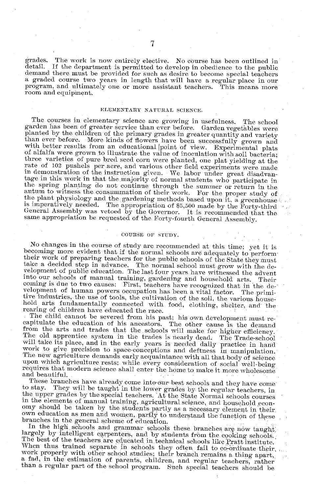grades. The work is now entirely elective. No course has been outlined in detail. If the department is permitted to develop in obedience to the public demand there must be provided for such as desire to become special teachers a graded course two years in length that will have a regular place in our program, and ultimately one or more assistant teachers. This means more

#### **ELIEMENTARY NATURAL** SCIENCE.

The courses in elementary science are growing in usefulness. The school<br>garden has been of greater service than ever before. Garden vegetables were<br>planted by the children of the primary grades in greater quantity and vari in demonstration of the instruction given. We labor under great disadvantage in this work in that the majority of normal students who participate in the spring planting do not continue through the summer or return in the autum to witness the consummation of their work. For the proper study of the plant physiology and the gardening methods based upon it, a greenhouse is imperatively needed. The appropriation of \$5,500 made by the Forty-third General Assembly was vetoed by the Governor. It is recommended that the same appropriation be requested of the Forty-fourth General Assembly.

#### **COURSE** OF **STUDY.**

No changes in the course of study are recommended at this time; yet it is becoming more evident that if the normal schools are adequately to perform their work of preparing teachers for the public schools of the State the

upon which agriculture rests; while every consideration of social well-being requires that modern science shall enter the home to make it more wholesome and beautiful.

to stay. They will be taught in the lower grades by the regular teachers, in the upper grades by the special teachers. At the State Normal schools courses in the elements of manual training, agricultural science, and house

largely by intelligent carpenters, and by students from the cooking schools. The best of the teachers are educated in technical schools like Pratt institute.<br>When thus trained separate in schools they often fail to co-ordi work properly with other school studies; their branch remains a thing apart, a fad, in the estimation of parents, children, and regular teachers, rather than a regular part of the school program. Such special teachers shou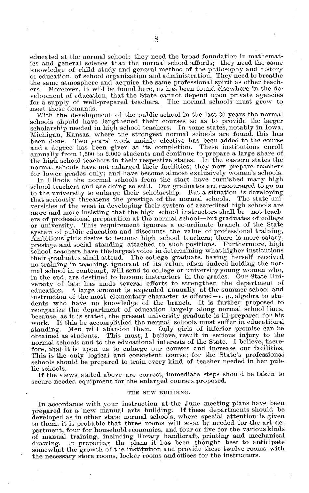educated at the normal school; they need the broad foundation in mathematics and general science that the normal school affords; they need the same knowledge of child study and general method of the philosophy and history of education, of school organization and administration. They need to breathe the same atmosphere and acquire the same professional spirit as other teach-<br>ers. Moreover, it will be found here, as has been found elsewhere in the de-Moreover, it will be found here, as has been found elsewhere in the development of education, that the State cannot depend upon private agencies for a supply of well-prepared teachers. The normal schools must grow to meet these demands.

With the development of the public school in the last 30 years the normal schools should have lengthened their courses so as to provide the larger scholarship needed in high school teachers. In some states, notably in Iowa, Michigan, Kansas, where the strongest normal schools are found, this has been done. Two years' work mainly elective has been added to the course and a degree has been given at its completion. These institutions enroll annually from 1,500 to 2,000 students and continue to prepare a large share of the high school teachers in their respective states. In the eastern states the normal schools have not enlarged their facilities; they now prepare teachers for lower grades only; and have become almost exclusively women's schools.

In Illinois the normal schools from the start have furnished many high school teachers and are doing so still. Our graduates are encouraged to go on to the university to enlarge their scholarship. But a situation is developing<br>that seriously threatens the prestige of the normal schools. The state unithat seriously threatens the prestige of the normal schools. versities of the west in developing their system of accredited high schools are more and more insisting that the high school instructors shall be-not teachers of professional preparation at the normal school-but graduates of college or university. This requirement ignores a co-ordinate branch of the State This requirement ignores a co-ordinate branch of the State system of public education and discounts the value of professional training, Ambitious girls desire to become high school teachers; there is more salary, prestige and social standing attached to such positions. Furthermore, high school teachers have the largest voice in determining what higher institutions their graduates shall attend. The college graduate, having herself received no training in teaching, ignorant of its value, often indeed holding the normal school in contempt, will send to college or university young women who, in the end, are destined to become instructors in the grades. Our State University of late has made several efforts to strengthen the department of education. A large amount is expended annually at the summer school and instruction of the most elementary character is offered- $e$ . g., algebra to students who have no knowledge of the branch. It is further proposed to reorganize the department of education largely along normal school lines, because, as it is stated, the present university graduate is ill-prepared for his work. If this be accomplished the normal schools must suffer in educational standing. Men will abandon them. Only girls of inferior promise can be Men will abandon them. Only girls of inferior promise can be obtained as students. This must, I believe, result in serious injury to the normal schools and to the educational interests of the State. I believe, therefore, that it is upon us to enlarge our courses and increase our facilities. This is the only logical and consistent course; for the State's professional schools should be prepared to train every kind of teacher needed in her public schools.

If the views stated above are correct, immediate steps should be taken to secure needed equipment for the enlarged courses proposed.

#### **THE NEW** BUILDING.

In accordance with your instruction at the June meeting plans have been prepared for a new manual arts building. If these departments should be developed as in other state normal schools, where special attention is given to them, it is probable that three rooms will soon be needed for the art department, four for household economics, and four or five for the various kinds of manual training, including library handicraft, printing and mechanical drawing. In preparing the plans it has been thought best to anticipate somewhat the growth of the institution and provide these twelve rooms with the necessary store rooms, locker rooms and offices for the instructors.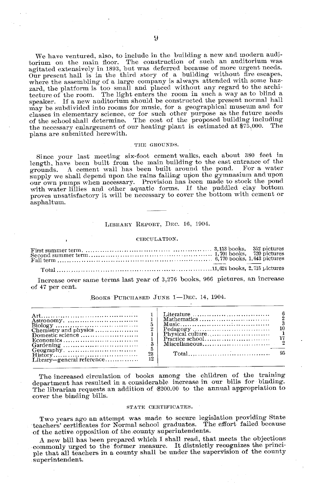We have ventured, also, to include in the building a new and modern audifor the main floor. The construction of such an auditorium was agitated extensively in 1893, but was deferred because of more urgent needs. Our present hall is in the third story of a building without fire escapes where th zard, the platform is too small and placed without any regard to the archi-tecture of the room. The light enters the room in such a way as to blind a speaker. If a new auditorium should be constructed the present normal hall may be subdivided into rooms for music, for a geographical museum and for classes in elementary science, or for such other purpose as the future needs of the school shall determine. The cost of the proposed building including the necessary enlargement of our heating plant is estimated at \$75,000. The plans are submitted herewith.

#### **THE GROUNDS.**

Since your last meeting six-foot cement walks, each about 380 feet in length, have been built from the main building to the east entrance of the grounds A cement wall has been built around the pond. For a water grounds. A cement wall has been built around the pond. supply we shall depend upon the rains falling upon the gymnasium and upon our own pumps when necessary. Provision has been made to stock the pond with water lillies and other aquatic forms. If the puddled clay bottom proves unsatisfactory it will be necessary to cover the bottom with cement or asphaltum.

#### LIBRARY REPORT, DEC. 16, 1904.

#### CIRCULATION.

Increase over same terms last year of 3,276 books, 966 pictures, an increase of 47 per cent.

#### BOOKS PURCHASED JUNE 1-DEC. 14, 1904.

| Chemistry and physics<br>Domestic science<br>Economics $\ldots \ldots \ldots \ldots \ldots \ldots \ldots \ldots$<br>23.<br>12.<br>$Libr$ ary—general reference | Mathematics<br>$\blacksquare$<br>$Total \dots \dots \dots \dots \dots \dots \dots \dots \dots \dots \$ |
|----------------------------------------------------------------------------------------------------------------------------------------------------------------|--------------------------------------------------------------------------------------------------------|
|----------------------------------------------------------------------------------------------------------------------------------------------------------------|--------------------------------------------------------------------------------------------------------|

The increased circulation of books among the children of the training department has resulted in a considerable increase in our bills for binding. The librarian requests an addition of \$200.00 to the annual appropriation to cover the binding bills.

#### **STATE CERTIFICATES.**

Two years ago an attempt was made to secure legislation providing State teachers' certificates for Normal school graduates. The effort failed because of the active opposition of the county superintendents.

A new bill has been prepared which I shall read, that meets the objections commonly urged to the former measure. It distnictly recognizes the principle that all teachers in a county shall be under the supervision of the county superintendent.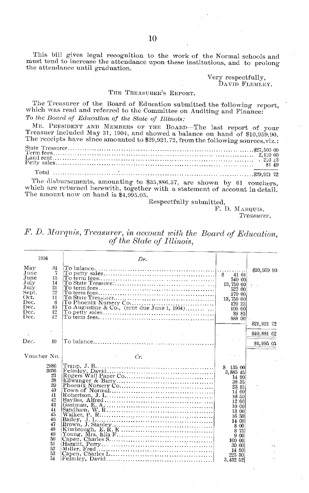This bill gives legal recognition to the work of the Normal schools and must tend to increase the attendance upon these institutions, and to prolong the attendance until graduation.

> Very respectfully, DAVID FLEMLEY.

#### THE TREASURER'S REPORT.

The Treasurer of the Board of Education submitted the following report, which was read and referred to the Committee on Auditing and Finance: To the Board of Education of the State of Illinois:

MR. PRESIDENT AND MEMBERS OF THE BOARD-The last report of your Treasuer included May 31, 1904, and showed a balance on hand of \$10,959.90. The receipts have since amounted to \$29,921.72, from the following sources, viz.:

The disbursements, amounting to \$35,886.57, are shown by 61 vouchers, which are returned herewith, together with a statement of account in detail. The amount now on hand is  $$4,995.05$ .

Respectfully submitted,

F. D. MARQUIS, Treasurer.

| F. D. Marqnis, Treasurer, in account with the Board of Education, |                           |  |  |
|-------------------------------------------------------------------|---------------------------|--|--|
|                                                                   | of the State of Illinois, |  |  |

|                                                                                      | 1904                                                                                                                     | Dr.                                                                                                         |                                                                                                                                                                                             |                            |
|--------------------------------------------------------------------------------------|--------------------------------------------------------------------------------------------------------------------------|-------------------------------------------------------------------------------------------------------------|---------------------------------------------------------------------------------------------------------------------------------------------------------------------------------------------|----------------------------|
| Mav<br>June<br>June<br>July<br>July<br>Sept.<br>Oct.<br>Dec.<br>Dec.<br>Dec.<br>Dec. | 31<br>7<br>15<br>14<br>$^{21}$<br>22<br>$\mathbf{11}$<br>6<br>10<br>12<br>12                                             | To Augustine & Co., (rent due June 1, 1904)                                                                 | $\pmb{\$}$<br>41 64<br>540 00<br>13,750 00<br>522.00<br>170 00<br>13,750 00<br>120 23<br>100 00<br>39 85<br>888.00                                                                          | \$10,959 90                |
|                                                                                      |                                                                                                                          |                                                                                                             |                                                                                                                                                                                             | \$21,921 72<br>\$40,881 62 |
| Dec.                                                                                 | 19                                                                                                                       |                                                                                                             |                                                                                                                                                                                             | \$4,995 05                 |
| Voucher No.                                                                          |                                                                                                                          | Cr.                                                                                                         |                                                                                                                                                                                             |                            |
|                                                                                      | 2986<br>3036<br>27<br>38<br>39<br>40<br>41<br>42<br>43<br>44<br>45<br>46<br>47<br>48<br>49<br>50<br>51<br>52<br>53<br>54 | Walker, $P_1, R, \ldots, R, P_2, \ldots, P_1, \ldots, P_2, \ldots, P_2, \ldots, P_n$<br>Kimbrough, E. R. E. | \$13500<br>3,885 45<br>14 90<br>38 35<br>23.15<br>14 00<br>10 50<br>12 00<br>10 00<br>13 00<br>16 50<br>14 00<br>$8 - 00$<br>8.75<br>9 00<br>100 00<br>30 00<br>14 50<br>225 30<br>3.432 52 |                            |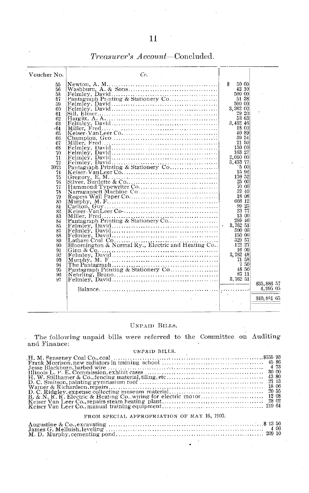| Voucher No.          | Cr.                                               |                                                    |                         |
|----------------------|---------------------------------------------------|----------------------------------------------------|-------------------------|
|                      |                                                   |                                                    |                         |
| 55<br>56<br>58       |                                                   | \$<br>50 00<br>42 10<br>500 00                     |                         |
| 57                   |                                                   | 51 38                                              |                         |
| 59                   |                                                   | 500 00                                             |                         |
| 60                   |                                                   | 3,262 00                                           |                         |
| 61                   |                                                   | 29 20                                              |                         |
| 62                   |                                                   | 53 63                                              |                         |
| 63                   |                                                   | 3,432 46                                           |                         |
| -64                  |                                                   | 18 00                                              |                         |
| 65                   |                                                   | 40 89                                              |                         |
| 66                   |                                                   | 39 54                                              |                         |
| 67                   |                                                   | 21 50                                              |                         |
| 68                   |                                                   | 150 00                                             |                         |
| 70                   |                                                   | 163 27                                             |                         |
| 71                   |                                                   | 2,000 00                                           |                         |
| 72                   |                                                   | 3,433 77                                           |                         |
| 3073<br>74<br>75     | Pantagraph Printing & Stationery Co               | $\cdot$ 5 00<br>15 94<br>$\sim$<br>170 52          |                         |
| 76                   |                                                   | 25 00                                              |                         |
| 77                   |                                                   | -70-00                                             |                         |
| 78                   | Narragansett Machine Co                           | 37 40                                              |                         |
| 79                   |                                                   | 18 08                                              |                         |
| 80                   |                                                   | 666 12                                             |                         |
| 81                   |                                                   | $-9925$                                            |                         |
| 82                   |                                                   | 23 77                                              |                         |
| 83<br>84<br>85       |                                                   | 13 00<br>299 40<br>3,762 51<br>$\bullet$<br>500 00 |                         |
| 87<br>88<br>89<br>90 | Bloomington & Normal Ry., Electric and Heating Co | 150 00<br>329 57<br>122 27                         |                         |
| 91                   |                                                   | 16 00                                              |                         |
| 92                   |                                                   | 3,782 48                                           |                         |
| 93                   |                                                   | 71 58                                              |                         |
| 94                   |                                                   | 750                                                |                         |
| 95                   | Pantagraph Printing & Stationery Co               | 48 50                                              |                         |
| 96                   |                                                   | 87 11                                              |                         |
| 97                   |                                                   | 3.762 51                                           |                         |
|                      |                                                   |                                                    | \$35,886 57<br>4,995 05 |
|                      |                                                   |                                                    | \$40,881 65             |

### *Treasurer's A ccount-Concluded.*

#### UNPAID BILLS.

The following unpaid bills were referred to the Committee on Auditing and Finance:

#### UNPAID BILLS.

#### FROM SPECIAL APPROPRIATION OF **MAY** 16, 1903.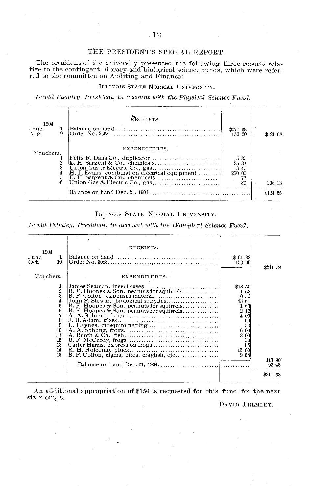#### THE PRESIDENT'S SPECIAL REPORT.

The president of the university presented the following three reports relative to the contingent, library and biological science funds, which were referred to the committee on Auditing and Finance:

#### ILLINOIS STATE NORMAL UNIVERSITY.

David Flemley, President, in account with the Physical Science Fund,

| 1904<br>June<br>19<br>Aug. | RECEIPTS.     | \$271 68<br>150 CO                  | \$421 68 |
|----------------------------|---------------|-------------------------------------|----------|
| Vouchers.<br>6             | EXPENDITURES. | 535<br>35 81<br>340<br>250 00<br>80 | 296 13   |
|                            |               |                                     | \$125 55 |

#### ILLINOIS STATE NORMAL UNIVERSITY.

David Felmley, President, in account with the Biological Science Fund:

|                                                                             | RECEIPTS.                                                                                                             |                                                                                                                 |                 |
|-----------------------------------------------------------------------------|-----------------------------------------------------------------------------------------------------------------------|-----------------------------------------------------------------------------------------------------------------|-----------------|
| 1904<br>June<br>1<br>19<br>Oct.                                             |                                                                                                                       | \$6138<br>150 00                                                                                                | \$211 38        |
| Vouchers.                                                                   | EXPENDITURES.                                                                                                         |                                                                                                                 |                 |
| 1<br>$\frac{2}{3}$<br>5<br>6<br>8<br>9<br>10<br>11<br>12<br>13<br>14<br>15. | $ B. P. Colton, expenses material \dots \dots \dots \dots \dots \dots  $<br>B. F. Hoopes & Son, peanuts for squirrels | \$1850<br>163<br>10 30<br>43 61<br>1 63<br>210<br>4 00<br>60<br>50<br>6 00<br>3 00<br>50<br>85<br>15 00<br>9.68 | 117 90<br>93 48 |
|                                                                             |                                                                                                                       |                                                                                                                 | \$211 38        |

An additional appropriation of \$150 is requested for this fund for the next six months.

DAVID FELMLEY.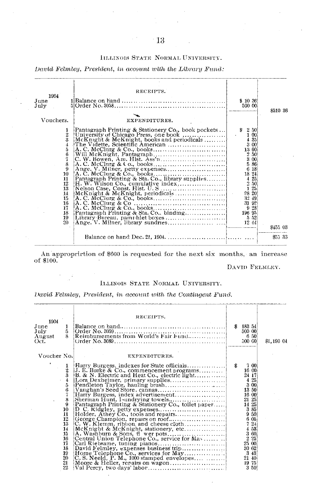#### IILLINOIS STATE NORMAL UNIVERSITY.

David Felmley, President, in account with the Library Fund:

| 1904<br>June<br>July                                                                                                       | RECEIPTS.                                          | \$1036<br>500 00 |          |
|----------------------------------------------------------------------------------------------------------------------------|----------------------------------------------------|------------------|----------|
| Vouchers.                                                                                                                  | EXPENDITURES.                                      |                  | \$510 36 |
| $\frac{1}{2}$<br>4<br>õ<br>6<br>7<br>8<br>9<br>10 <sup>°</sup><br>11<br>12<br>13<br>14<br>15<br>16<br>17<br>18<br>19<br>20 | Pantagraph Printing & Stationery Co., book pockets | \$250<br>3 00    | \$45503  |
|                                                                                                                            |                                                    |                  | \$55.33  |

An approprirtion of  $$600$  is requested for the next six months, an increase of  $$100$ .

DAVID FELMLEY.

#### ILLINOIS STATE NORMAL UNIVERSITY.

David Felmley, President, in account with the Contingent Fund.

| 1904<br>$_{\rm June}$<br>July<br>August<br>Oct. | ı<br>5.                                                                                                              | RECEIPTS.                                  |     | \$18354<br>500 00<br>6 50<br>500 GO                                                                               | \$1,190 04 |
|-------------------------------------------------|----------------------------------------------------------------------------------------------------------------------|--------------------------------------------|-----|-------------------------------------------------------------------------------------------------------------------|------------|
| Voucher No.                                     |                                                                                                                      | EXPENDITURES.                              |     |                                                                                                                   |            |
| ٠                                               | $\frac{1}{2}$<br>3<br>5<br>6<br>8<br>9<br>10<br>11<br>12<br>13<br>14<br>15<br>16<br>17<br>18<br>19<br>20<br>21<br>22 | Harry Burgess, indexes for State officials | -\$ | -7-00i<br>16 00<br>24,17<br>3 85<br>9 50<br>605<br>721<br>4 53<br>3 60<br>2 25<br>25 00<br>30 62<br>19 75<br>3 50 |            |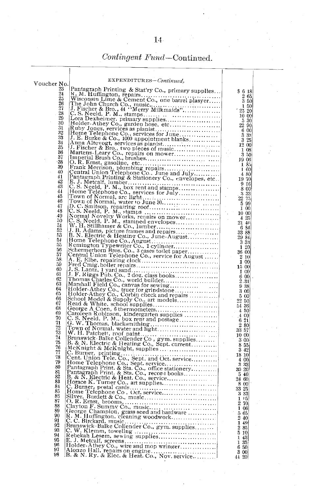## $\emph{Contingent Fund}-\emph{Continued}.$

|                 | EXPENDITURES-Continued.                             |                                                                 |  |
|-----------------|-----------------------------------------------------|-----------------------------------------------------------------|--|
| Voucher No.     |                                                     |                                                                 |  |
| 23              | Pantagraph Printing & Stat'ry Co., primary supplies | \$618                                                           |  |
| $\frac{24}{25}$ |                                                     |                                                                 |  |
|                 |                                                     | $\begin{smallmatrix} 2 & 65\ 3 & 50 \end{smallmatrix}$          |  |
| 27              |                                                     | 1 50                                                            |  |
| 28              |                                                     | 25 20                                                           |  |
| 29              |                                                     | 10 00                                                           |  |
| 30              |                                                     | $\begin{array}{c} 5 \ 30 \\ 22 \ 90 \end{array}$                |  |
| 31              |                                                     | 6 00                                                            |  |
| 32              |                                                     | 3 33                                                            |  |
| 33<br>34        |                                                     | 3<br>25                                                         |  |
| 35              |                                                     | $12\,00$                                                        |  |
| 36              |                                                     | 1 08                                                            |  |
| 37              |                                                     | 350<br>19 06                                                    |  |
| 38              |                                                     | 185                                                             |  |
| 39              |                                                     | 160                                                             |  |
| 40              |                                                     | 4 80                                                            |  |
| 41<br>42        |                                                     | $\begin{smallmatrix} 19 & 70 \\ 9 & 16 \end{smallmatrix}$       |  |
| 43              |                                                     |                                                                 |  |
| 44              |                                                     | 8 00                                                            |  |
| 45              |                                                     | 3 3 3<br>22 75                                                  |  |
| 46              |                                                     | 5 99                                                            |  |
| 47              |                                                     | $\overline{1}$ 00                                               |  |
| 48<br>49        |                                                     | 10 00                                                           |  |
| 50              |                                                     | 4 25                                                            |  |
| 51              |                                                     | 21 40                                                           |  |
| 52              |                                                     | 6 84<br>33 88                                                   |  |
| 53              |                                                     |                                                                 |  |
| 54              |                                                     | $\frac{29}{3}$ $\frac{84}{33}$                                  |  |
| 55<br>56        |                                                     | 120                                                             |  |
| 57              |                                                     | 36 00                                                           |  |
| 58              |                                                     | 2 10<br>100                                                     |  |
| 59              |                                                     | 15 00                                                           |  |
| 60              |                                                     | 100                                                             |  |
| 61<br>62        |                                                     | 6 00                                                            |  |
| 63              |                                                     | 2.31                                                            |  |
| 64              |                                                     | 9 38<br>3 00                                                    |  |
| 65              |                                                     |                                                                 |  |
| 66              |                                                     | $\begin{array}{c} 5\ 00 \\ 22\ 50 \end{array}$                  |  |
| 67<br>68        |                                                     | 54 36                                                           |  |
| 69              |                                                     | 4.50                                                            |  |
| 70              |                                                     | 4 00                                                            |  |
| 71              |                                                     | 6 21<br>$2\,80$                                                 |  |
| 72              |                                                     | 33 57                                                           |  |
| 73              |                                                     | 10 00                                                           |  |
| 74              |                                                     | 3 00                                                            |  |
| 75<br>76        |                                                     | 8 55                                                            |  |
| 77              |                                                     | 3 42                                                            |  |
| 78              |                                                     | 1810                                                            |  |
| 79              |                                                     | $\begin{smallmatrix} 4 & 00\\ 3 & 33 \end{smallmatrix}$         |  |
| 80              |                                                     | 30 20                                                           |  |
| 81              |                                                     | 5 40                                                            |  |
| 82<br>83        |                                                     | 2460                                                            |  |
| 84              |                                                     | $\begin{array}{c} 8 & 00 \\ 33 & 25 \end{array}$                |  |
| 85              |                                                     |                                                                 |  |
| 85              |                                                     | 3 33                                                            |  |
| 87              |                                                     | $\begin{array}{c} 1 \ 05 \\ 2 \ 70 \end{array}$                 |  |
| 88<br>89        |                                                     | 106                                                             |  |
| 90              |                                                     |                                                                 |  |
| 91              |                                                     |                                                                 |  |
| 92              |                                                     | $\frac{5}{2}$ $\frac{65}{40}$<br>$\frac{49}{2}$ $\frac{85}{20}$ |  |
| 93              |                                                     | 510                                                             |  |
| 94              |                                                     | 1 43                                                            |  |
| 95<br>96        |                                                     | 1 35                                                            |  |
| 97              |                                                     | 6 50                                                            |  |
| 98              |                                                     | 3 00<br>44 20                                                   |  |
|                 |                                                     |                                                                 |  |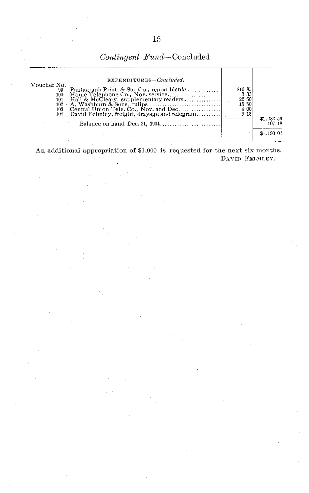*Contingent Fund-Concluded.*

| EXPENDITURES-Concluded.<br>Voucher No.<br>Pantagraph Print. & Sta. Co., report blanks<br>99<br>100<br>Hall & McCleary, supplementary readers<br>101<br>102<br>Central Union Tele. Co., Nov. and Dec.<br>103<br>David Felmley, freight, drayage and telegram<br>104 | \$10 85<br>3 3 3<br>22 50<br>15 50<br>4 00<br>9 18 | \$1.08256<br>107 48<br>\$1,190 04 |
|--------------------------------------------------------------------------------------------------------------------------------------------------------------------------------------------------------------------------------------------------------------------|----------------------------------------------------|-----------------------------------|
|--------------------------------------------------------------------------------------------------------------------------------------------------------------------------------------------------------------------------------------------------------------------|----------------------------------------------------|-----------------------------------|

An additional appropriation of \$1,000 is requested for the next six months. DAVID FELMLEY.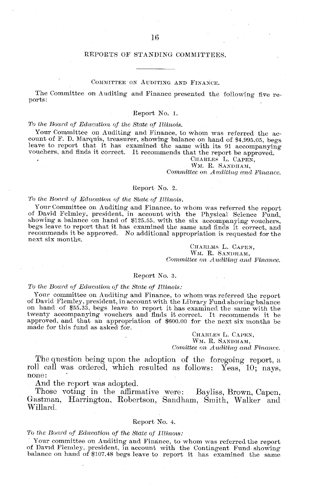#### COMMITTEE ON AUDITING AND FINANCE.

The Committee on Auditing and Finance presented the following five re-

#### Report No. 1.

#### *To the Board of Education of the State of Illtinois.*

Your Committee on Auditing and Finance, to whom was referred the account of F. D. Marquis, treasurer, showing balance on hand of \$4,995.05, begs leave to report that it has examined the same with its 91 accompanying vouche

CHARLES L. CAPEN, WM. R. SANDHAM, *Committee on Auditing and Finance.* 

#### Report No. 2.

*To the Board of Edtucation of the State of Illinois.* of David Felmley, president, in account with the Physical Science Fund, showing a balance on hand of \$125.55, with the six accompanying vouchers, begs leave to report that it has examined the same and finds it correct, and recommends it be approved. No additional appropriation is requested for the next six months.

> CHARLMS L. CAPEN, WM. R. SANDHAM, *Committee on Auditing and Finance.*

#### Report No. 3.

#### *To the Board of Education of the State of llitnois:*

Your committee on Auditing and Finance, to whom was referred the report of David Flemley, president, in account with the Library Fund showing balance on hand of \$55.33, begs leave to report it has examined the same with th twenty accompanying vouchers and finds it correct. It recommends it be approved, and that an appropriation of \$600.00 for the next six months be made for this fund as asked for.

> CHARILES L. CAPEN, WM. R. SANDHAM, *Comittee on Auditing and Finance.*

The question being upon the adoption of the foregoing report, a roll call was ordered, which resulted as follows: Yeas, 10; nays, none:

And the report was adopted.<br>Those voting in the affirmative were: Those voting in the affirmative were: Bayliss, Brown, Capen, Gastman, Harrington, Robertson, Sandham, Smith, Walker and Willard.

#### Report No. 4.

*To the Board of Education of the State of lltinots:*

Your committee on Auditing and Finance, to whom was referred the report of David Flemley, president, in account with the Contingent Fund showing balance on hand of \$107.48 begs leave to report it has examined the same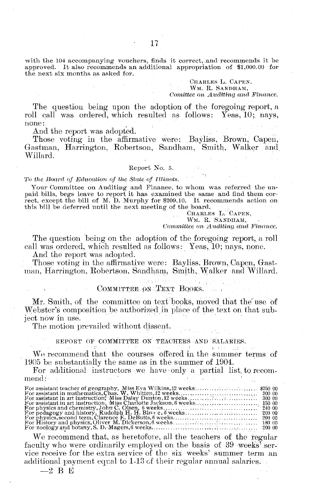with the 104 accompanying vouchers, finds it correct, and recommends it be approved. It also recommends an additional appropriation of \$1,000.00 for the next six months as asked for.

> CHARLES L. CAPEN, WM. R. SANDHAM, *Comittee on Auditinq, and Fianice.*

The question being upon the adoption of the foregoing report, a roll call was ordered, which resulted as follows: Yeas, 10; nays, none:

And the report was adopted.

Those voting in the affirmative were: Bayliss, Brown, Capen, **Gastman,** Harrington, Robertson, Sandham, Smith, Walker and Willard.

#### Report No. 5.

*To thie Bolard of Edcucation of thie State of Illinots.*

Your Committee on Auditing and Finance, to whom was referred the unpaid bills, begs leave to report it has examined the same and find them correct, except the bill of M. D. Murphy for \$209.10. It recommends action on this bill be deferred until the next meeting of the board.

CHARLES L. CAPEN,

WM. R. SANDHAM,

*Committee on Auditing and Finance.* 

The question being on the adoption of the foregoing report, a roll call was ordered, which resulted as follows: Yeas, 10; nays, none.

And the report was adopted.

Those voting in the affirmative were: Bayliss, Brown, Capen, Gastman, Harrington, Robertson, Sandham, Smith, Walker and Willard.

#### COMMITTEE ON TEXT BOOKS.

Mr. Smith, of the committee on text books, moved that the" use of Webster's composition be authorized in place of the text on that subject now in use.

The motion prevailed without dissent.

REPORT OF COMMITTEE ON TEACHERS AND SALARIES.

We recommend that the courses offered in the summer terms of 1905 be substantially the same as in the summer of 1904.

For additional instructors we have only a partial list to recommend:

We recommend that, as heretofore, all the teachers of the regular faculty who were ordinarily employed on the basis of 39 weeks<sup>5</sup> service receive for the extra seivice of the six weeks' summer term an additional payment equal to 1-13 of their regular annual salaries.

 $-2$  B E